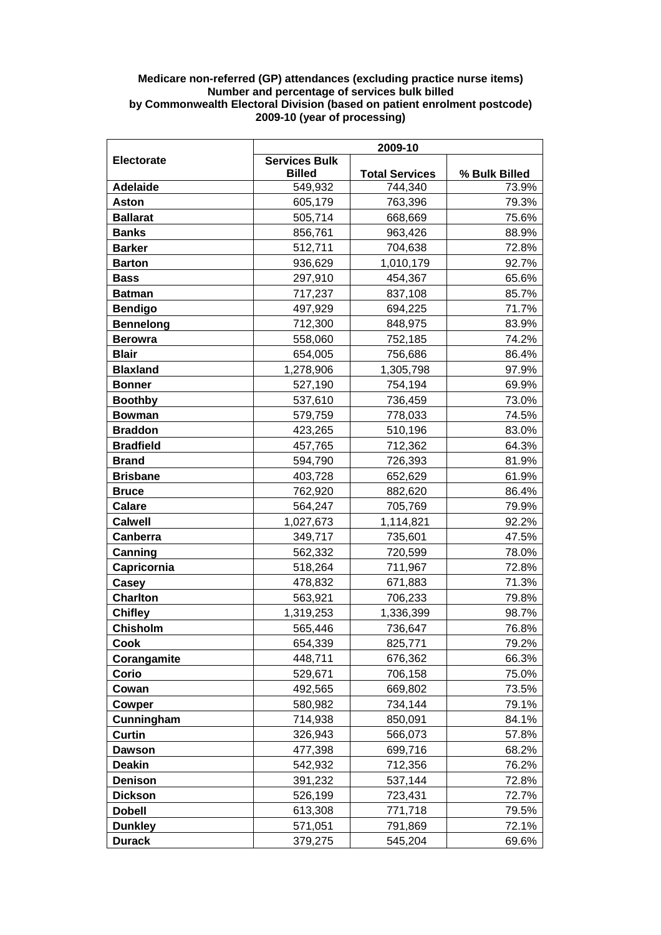## **Medicare non-referred (GP) attendances (excluding practice nurse items) Number and percentage of services bulk billed by Commonwealth Electoral Division (based on patient enrolment postcode) 2009-10 (year of processing)**

|                  | 2009-10                               |                       |               |
|------------------|---------------------------------------|-----------------------|---------------|
| Electorate       | <b>Services Bulk</b><br><b>Billed</b> | <b>Total Services</b> | % Bulk Billed |
| <b>Adelaide</b>  | 549,932                               | 744,340               | 73.9%         |
| Aston            | 605,179                               | 763,396               | 79.3%         |
| <b>Ballarat</b>  | 505,714                               | 668,669               | 75.6%         |
| <b>Banks</b>     | 856,761                               | 963,426               | 88.9%         |
| <b>Barker</b>    | 512,711                               | 704,638               | 72.8%         |
| <b>Barton</b>    | 936,629                               | 1,010,179             | 92.7%         |
| <b>Bass</b>      | 297,910                               | 454,367               | 65.6%         |
| <b>Batman</b>    | 717,237                               | 837,108               | 85.7%         |
| <b>Bendigo</b>   | 497,929                               | 694,225               | 71.7%         |
| <b>Bennelong</b> | 712,300                               | 848,975               | 83.9%         |
| <b>Berowra</b>   | 558,060                               | 752,185               | 74.2%         |
| <b>Blair</b>     | 654,005                               | 756,686               | 86.4%         |
| <b>Blaxland</b>  | 1,278,906                             | 1,305,798             | 97.9%         |
| <b>Bonner</b>    | 527,190                               | 754,194               | 69.9%         |
| <b>Boothby</b>   | 537,610                               | 736,459               | 73.0%         |
| <b>Bowman</b>    | 579,759                               | 778,033               | 74.5%         |
| <b>Braddon</b>   | 423,265                               | 510,196               | 83.0%         |
| <b>Bradfield</b> | 457,765                               | 712,362               | 64.3%         |
| <b>Brand</b>     | 594,790                               | 726,393               | 81.9%         |
| <b>Brisbane</b>  | 403,728                               | 652,629               | 61.9%         |
| <b>Bruce</b>     | 762,920                               | 882,620               | 86.4%         |
| <b>Calare</b>    | 564,247                               | 705,769               | 79.9%         |
| <b>Calwell</b>   | 1,027,673                             | 1,114,821             | 92.2%         |
| Canberra         | 349,717                               | 735,601               | 47.5%         |
| Canning          | 562,332                               | 720,599               | 78.0%         |
| Capricornia      | 518,264                               | 711,967               | 72.8%         |
| Casey            | 478,832                               | 671,883               | 71.3%         |
| <b>Charlton</b>  | 563,921                               | 706,233               | 79.8%         |
| <b>Chifley</b>   | 1,319,253                             | 1,336,399             | 98.7%         |
| Chisholm         | 565,446                               | 736,647               | 76.8%         |
| Cook             | 654,339                               | 825,771               | 79.2%         |
| Corangamite      | 448,711                               | 676,362               | 66.3%         |
| Corio            | 529,671                               | 706,158               | 75.0%         |
| Cowan            | 492,565                               | 669,802               | 73.5%         |
| Cowper           | 580,982                               | 734,144               | 79.1%         |
| Cunningham       | 714,938                               | 850,091               | 84.1%         |
| <b>Curtin</b>    | 326,943                               | 566,073               | 57.8%         |
| <b>Dawson</b>    | 477,398                               | 699,716               | 68.2%         |
| <b>Deakin</b>    | 542,932                               | 712,356               | 76.2%         |
| <b>Denison</b>   | 391,232                               | 537,144               | 72.8%         |
| <b>Dickson</b>   | 526,199                               | 723,431               | 72.7%         |
| <b>Dobell</b>    | 613,308                               | 771,718               | 79.5%         |
| <b>Dunkley</b>   | 571,051                               | 791,869               | 72.1%         |
| <b>Durack</b>    | 379,275                               | 545,204               | 69.6%         |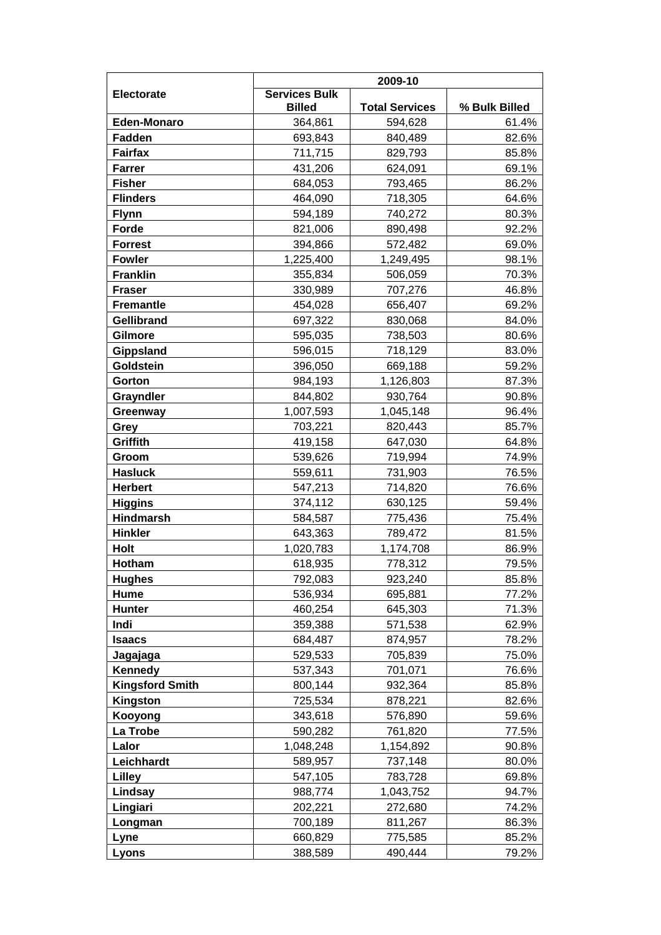|                        | 2009-10                               |                       |                |
|------------------------|---------------------------------------|-----------------------|----------------|
| Electorate             | <b>Services Bulk</b><br><b>Billed</b> | <b>Total Services</b> | % Bulk Billed  |
| <b>Eden-Monaro</b>     | 364,861                               | 594,628               | 61.4%          |
| Fadden                 | 693,843                               | 840,489               | 82.6%          |
| <b>Fairfax</b>         | 711,715                               | 829,793               | 85.8%          |
| <b>Farrer</b>          | 431,206                               | 624,091               | 69.1%          |
| <b>Fisher</b>          | 684,053                               | 793,465               | 86.2%          |
| <b>Flinders</b>        | 464,090                               | 718,305               | 64.6%          |
| <b>Flynn</b>           | 594,189                               | 740,272               | 80.3%          |
| Forde                  | 821,006                               | 890,498               | 92.2%          |
| <b>Forrest</b>         | 394,866                               | 572,482               | 69.0%          |
| <b>Fowler</b>          | 1,225,400                             | 1,249,495             | 98.1%          |
| <b>Franklin</b>        | 355,834                               | 506,059               | 70.3%          |
| <b>Fraser</b>          | 330,989                               | 707,276               | 46.8%          |
| <b>Fremantle</b>       | 454,028                               | 656,407               | 69.2%          |
| <b>Gellibrand</b>      | 697,322                               | 830,068               | 84.0%          |
| Gilmore                | 595,035                               | 738,503               | 80.6%          |
| Gippsland              | 596,015                               | 718,129               | 83.0%          |
| Goldstein              | 396,050                               | 669,188               | 59.2%          |
| Gorton                 | 984,193                               | 1,126,803             | 87.3%          |
| Grayndler              | 844,802                               | 930,764               | 90.8%          |
| Greenway               | 1,007,593                             | 1,045,148             | 96.4%          |
| Grey                   | 703,221                               | 820,443               | 85.7%          |
| Griffith               | 419,158                               | 647,030               | 64.8%          |
| Groom                  | 539,626                               | 719,994               | 74.9%          |
| <b>Hasluck</b>         | 559,611                               | 731,903               | 76.5%          |
| <b>Herbert</b>         | 547,213                               | 714,820               | 76.6%          |
| <b>Higgins</b>         | 374,112                               | 630,125               | 59.4%          |
| <b>Hindmarsh</b>       | 584,587                               | 775,436               | 75.4%          |
| <b>Hinkler</b>         | 643,363                               | 789,472               | 81.5%          |
| <b>Holt</b>            | 1,020,783                             | 1,174,708             | 86.9%          |
| <b>Hotham</b>          | 618,935                               | 778,312               | 79.5%          |
| <b>Hughes</b><br>Hume  | 792,083                               | 923,240               | 85.8%          |
| <b>Hunter</b>          | 536,934<br>460,254                    | 695,881<br>645,303    | 77.2%<br>71.3% |
| Indi                   | 359,388                               | 571,538               | 62.9%          |
| <b>Isaacs</b>          | 684,487                               | 874,957               | 78.2%          |
| Jagajaga               | 529,533                               | 705,839               | 75.0%          |
| Kennedy                | 537,343                               | 701,071               | 76.6%          |
| <b>Kingsford Smith</b> | 800,144                               | 932,364               | 85.8%          |
| Kingston               | 725,534                               | 878,221               | 82.6%          |
| Kooyong                | 343,618                               | 576,890               | 59.6%          |
| La Trobe               | 590,282                               | 761,820               | 77.5%          |
| Lalor                  | 1,048,248                             | 1,154,892             | 90.8%          |
| Leichhardt             | 589,957                               | 737,148               | 80.0%          |
| Lilley                 | 547,105                               | 783,728               | 69.8%          |
| Lindsay                | 988,774                               | 1,043,752             | 94.7%          |
| Lingiari               | 202,221                               | 272,680               | 74.2%          |
| Longman                | 700,189                               | 811,267               | 86.3%          |
| Lyne                   | 660,829                               | 775,585               | 85.2%          |
| Lyons                  | 388,589                               | 490,444               | 79.2%          |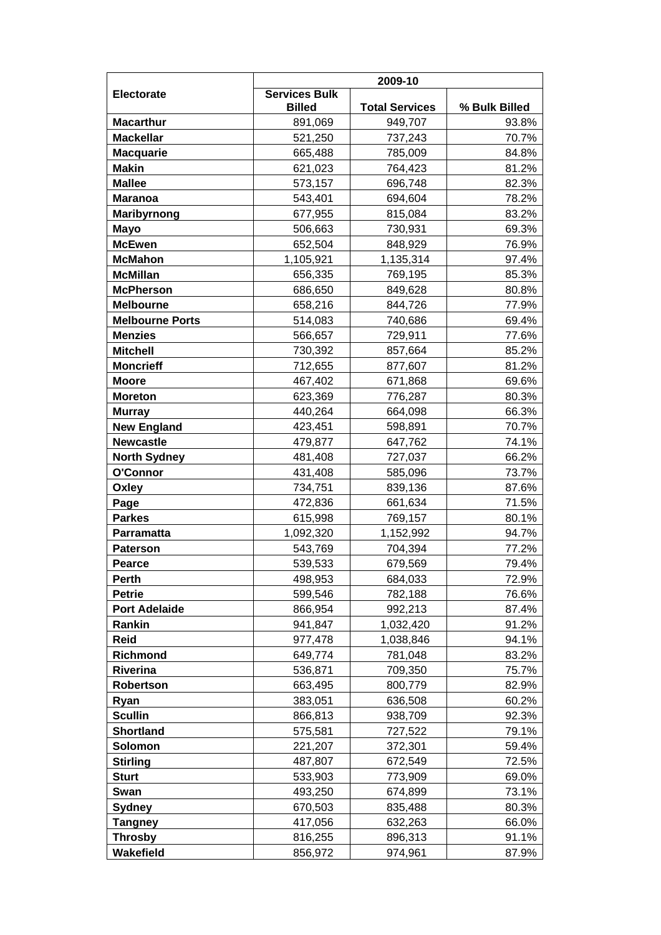|                               | 2009-10                               |                       |                |
|-------------------------------|---------------------------------------|-----------------------|----------------|
| Electorate                    | <b>Services Bulk</b><br><b>Billed</b> | <b>Total Services</b> | % Bulk Billed  |
| <b>Macarthur</b>              | 891,069                               | 949,707               | 93.8%          |
| <b>Mackellar</b>              | 521,250                               | 737,243               | 70.7%          |
| <b>Macquarie</b>              | 665,488                               | 785,009               | 84.8%          |
| <b>Makin</b>                  | 621,023                               | 764,423               | 81.2%          |
| <b>Mallee</b>                 | 573,157                               | 696,748               | 82.3%          |
| <b>Maranoa</b>                | 543,401                               | 694,604               | 78.2%          |
| Maribyrnong                   | 677,955                               | 815,084               | 83.2%          |
| <b>Mayo</b>                   | 506,663                               | 730,931               | 69.3%          |
| <b>McEwen</b>                 | 652,504                               | 848,929               | 76.9%          |
| <b>McMahon</b>                | 1,105,921                             | 1,135,314             | 97.4%          |
| <b>McMillan</b>               | 656,335                               | 769,195               | 85.3%          |
| <b>McPherson</b>              | 686,650                               | 849,628               | 80.8%          |
| <b>Melbourne</b>              | 658,216                               | 844,726               | 77.9%          |
| <b>Melbourne Ports</b>        | 514,083                               | 740,686               | 69.4%          |
| <b>Menzies</b>                | 566,657                               | 729,911               | 77.6%          |
| <b>Mitchell</b>               | 730,392                               | 857,664               | 85.2%          |
| <b>Moncrieff</b>              | 712,655                               | 877,607               | 81.2%          |
| <b>Moore</b>                  | 467,402                               | 671,868               | 69.6%          |
| <b>Moreton</b>                | 623,369                               | 776,287               | 80.3%          |
| <b>Murray</b>                 | 440,264                               | 664,098               | 66.3%          |
| <b>New England</b>            | 423,451                               | 598,891               | 70.7%          |
| <b>Newcastle</b>              | 479,877                               | 647,762               | 74.1%          |
| <b>North Sydney</b>           | 481,408                               | 727,037               | 66.2%          |
| O'Connor                      | 431,408                               | 585,096               | 73.7%          |
| Oxley                         | 734,751                               | 839,136               | 87.6%          |
| Page                          | 472,836                               | 661,634               | 71.5%          |
| <b>Parkes</b>                 | 615,998                               | 769,157               | 80.1%          |
| Parramatta                    | 1,092,320                             | 1,152,992             | 94.7%          |
| <b>Paterson</b>               | 543,769                               | 704,394               | 77.2%          |
| Pearce                        | 539,533                               | 679,569               | 79.4%          |
| <b>Perth</b><br><b>Petrie</b> | 498,953                               | 684,033               | 72.9%          |
| <b>Port Adelaide</b>          | 599,546<br>866,954                    | 782,188<br>992,213    | 76.6%<br>87.4% |
| Rankin                        | 941,847                               | 1,032,420             | 91.2%          |
| <b>Reid</b>                   | 977,478                               | 1,038,846             | 94.1%          |
| Richmond                      | 649,774                               | 781,048               | 83.2%          |
| <b>Riverina</b>               | 536,871                               | 709,350               | 75.7%          |
| Robertson                     | 663,495                               | 800,779               | 82.9%          |
| Ryan                          | 383,051                               | 636,508               | 60.2%          |
| <b>Scullin</b>                | 866,813                               | 938,709               | 92.3%          |
| <b>Shortland</b>              | 575,581                               | 727,522               | 79.1%          |
| Solomon                       | 221,207                               | 372,301               | 59.4%          |
| <b>Stirling</b>               | 487,807                               | 672,549               | 72.5%          |
| <b>Sturt</b>                  | 533,903                               | 773,909               | 69.0%          |
| Swan                          | 493,250                               | 674,899               | 73.1%          |
| <b>Sydney</b>                 | 670,503                               | 835,488               | 80.3%          |
| <b>Tangney</b>                | 417,056                               | 632,263               | 66.0%          |
| <b>Throsby</b>                | 816,255                               | 896,313               | 91.1%          |
| Wakefield                     | 856,972                               | 974,961               | 87.9%          |